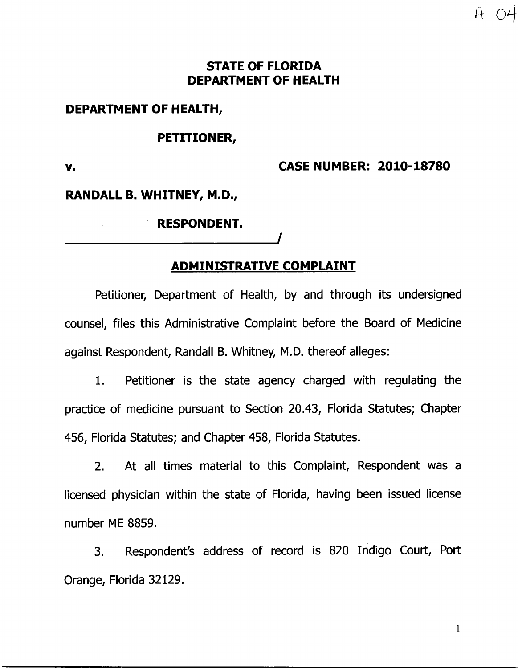## **STATE OF FLORIDA DEPARTMENT OF HEALTH**

### **DEPARTMENT OF HEALTH,**

#### **PETITIONER,**

**v.** 

**CASE NUMBER: 2010-18780** 

 $A - O4$ 

### **RANDALL B. WHITNEY, M.D.,**

#### **RESPONDENT.**

## **ADMINISTRATIVE COMPLAINT**

**/** 

Petitioner, Department of Health, by and through its undersigned counsel, files this Administrative Complaint before the Board of Medicine against Respondent, Randall B. Whitney, M.D. thereof alleges:

1. Petitioner is the state agency charged with regulating the practice of medicine pursuant to Section 20.43, Florida Statutes; Chapter 456, Florida Statutes; and Chapter 458, Florida Statutes.

2. At all times material to this Complaint, Respondent was a licensed physician within the state of Florida, having been issued license number ME 8859.

3. Respondent's address of record is 820 Indigo Court, Port Orange, Florida 32129.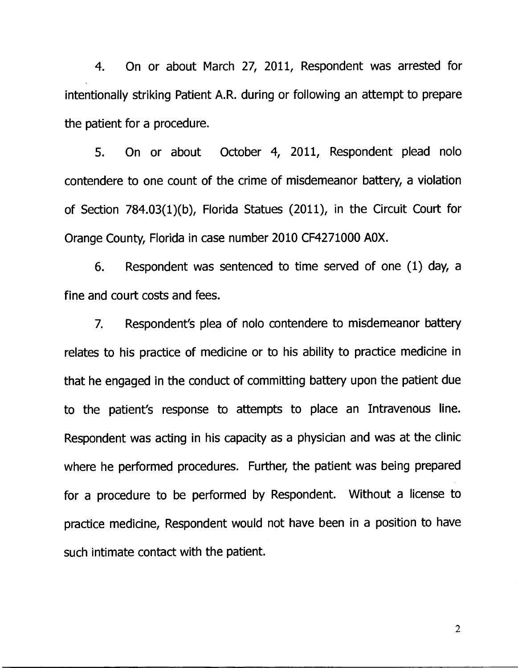**4. On or about March 27, 2011, Respondent was arrested for intentionally striking Patient A.R. during or following an attempt to prepare the patient for a procedure.** 

**5. On or about October 4, 2011, Respondent plead nolo contendere to one count of the crime of misdemeanor battery, a violation of Section 784.03(1)(b), Florida Statues (2011), in the Circuit Court for Orange County, Florida in case number 2010 CF4271000 AOX.** 

**6. Respondent was sentenced to time served of one (1) day, a fine and court costs and fees.** 

**7. Respondent's plea of nolo contendere to misdemeanor battery relates to his practice of medicine or to his ability to practice medicine in that he engaged in the conduct of committing battery upon the patient due to the patient's response to attempts to place an Intravenous line. Respondent was acting in his capacity as a physician and was at the clinic where he performed procedures. Further, the patient was being prepared for a procedure to be performed by Respondent. Without a license to practice medicine, Respondent would not have been in a position to have such intimate contact with the patient.**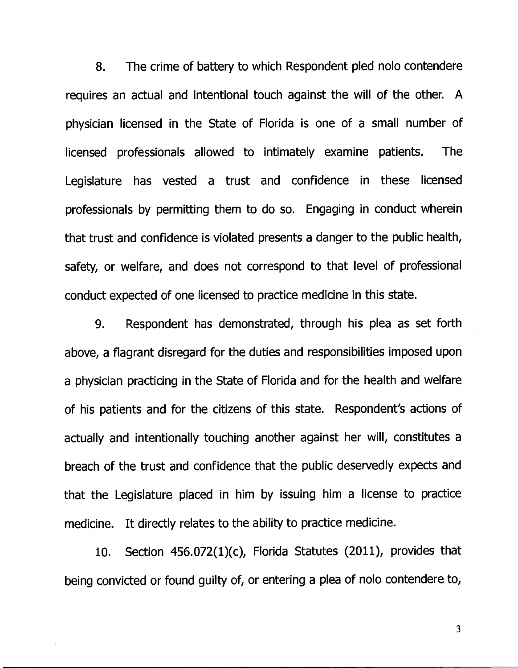**8. The crime of battery to which Respondent pled nolo contendere requires an actual and intentional touch against the will of the other. A physician licensed in the State of Florida is one of a small number of licensed professionals allowed to intimately examine patients. The Legislature has vested a trust and confidence in these licensed professionals by permitting them to do so. Engaging in conduct wherein that trust and confidence is violated presents a danger to the public health, safety, or welfare, and does not correspond to that level of professional conduct expected of one licensed to practice medicine in this state.** 

**9. Respondent has demonstrated, through his plea as set forth above, a flagrant disregard for the duties and responsibilities imposed upon a physician practicing in the State of Florida and for the health and welfare of his patients and for the citizens of this state. Respondent's actions of actually and intentionally touching another against her will, constitutes a breach of the trust and confidence that the public deservedly expects and that the Legislature placed in him by issuing him a license to practice medicine. It directly relates to the ability to practice medicine.** 

**10. Section 456.072(1)(c), Florida Statutes (2011), provides that being convicted or found guilty of, or entering a plea of nolo contendere to,**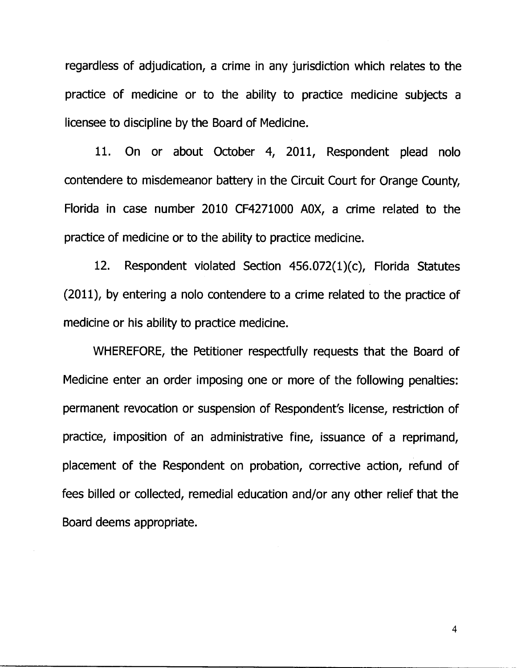**regardless of adjudication, a crime in any jurisdiction which relates to the practice of medicine or to the ability to practice medicine subjects a licensee to discipline by the Board of Medicine.** 

**11. On or about October 4, 2011, Respondent plead nolo contendere to misdemeanor battery in the Circuit Court for Orange County, Florida in case number 2010 CF4271000 AOX, a crime related to the practice of medicine or to the ability to practice medicine.** 

**12. Respondent violated Section 456.072(1)(c), Florida Statutes (2011), by entering a nolo contendere to a crime related to the practice of medicine or his ability to practice medicine.** 

**WHEREFORE, the Petitioner respectfully requests that the Board of Medicine enter an order imposing one or more of the following penalties: permanent revocation or suspension of Respondent's license, restriction of practice, imposition of an administrative fine, issuance of a reprimand, placement of the Respondent on probation, corrective action, refund of fees billed or collected, remedial education and/or any other relief that the Board deems appropriate.**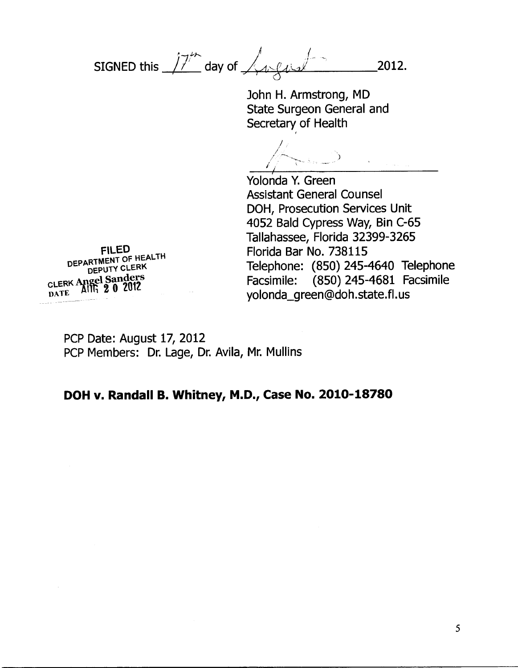SIGNED this  $\sqrt{7}^{\prime\prime}$  day of  $\sqrt{4\sqrt{4\pi}}$  2012.

John H. Armstrong, MD State Surgeon General and Secretary of Health

Yolonda Y. Green Assistant General Counsel DOH, Prosecution Services Unit 4052 Bald Cypress Way, Bin C-65 Tallahassee, Florida 32399-3265 Florida Bar No. 738115 Telephone: (850) 245-4640 Telephone Facsimile: (850) 245-4681 Facsimile yolonda\_green@doh.state.fl.us

**FILED DEPARTMENT OF HEALTH DEPUTY CLERK CLERK Apgpl Sanders**  DATE **14 WI** 2 0 2012

> PCP Date: August 17, 2012 PCP Members: Dr. Lage, Dr. Avila, Mr. Mullins

## **DOH v. Randall B. Whitney, M.D., Case No. 2010-18780**